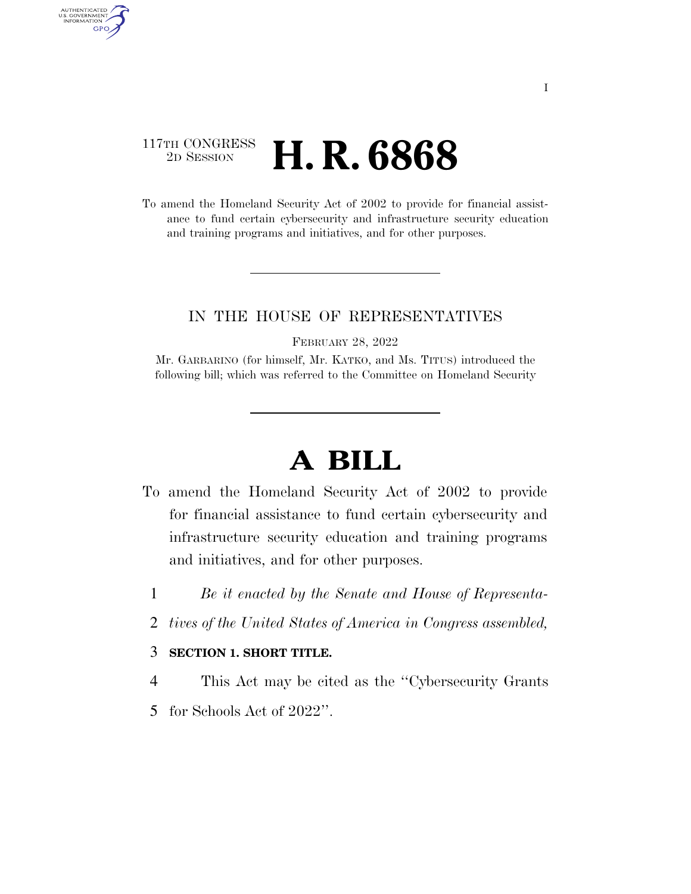### 117TH CONGRESS <sup>2D SESSION</sup> **H. R. 6868**

AUTHENTICATED U.S. GOVERNMENT GPO

> To amend the Homeland Security Act of 2002 to provide for financial assistance to fund certain cybersecurity and infrastructure security education and training programs and initiatives, and for other purposes.

### IN THE HOUSE OF REPRESENTATIVES

FEBRUARY 28, 2022

Mr. GARBARINO (for himself, Mr. KATKO, and Ms. TITUS) introduced the following bill; which was referred to the Committee on Homeland Security

# **A BILL**

- To amend the Homeland Security Act of 2002 to provide for financial assistance to fund certain cybersecurity and infrastructure security education and training programs and initiatives, and for other purposes.
	- 1 *Be it enacted by the Senate and House of Representa-*
	- 2 *tives of the United States of America in Congress assembled,*

#### 3 **SECTION 1. SHORT TITLE.**

- 4 This Act may be cited as the ''Cybersecurity Grants
- 5 for Schools Act of 2022''.